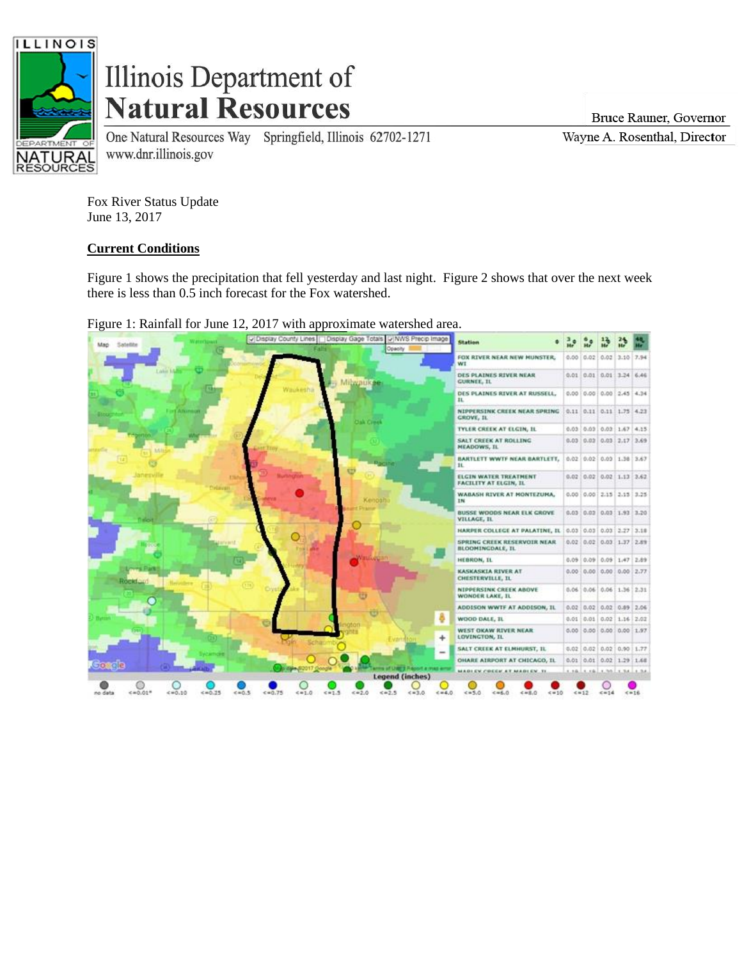

## Illinois Department of **Natural Resources**

www.dnr.illinois.gov

One Natural Resources Way Springfield, Illinois 62702-1271

Bruce Rauner, Governor

Wayne A. Rosenthal, Director

Fox River Status Update June 13, 2017

## **Current Conditions**

Figure 1 shows the precipitation that fell yesterday and last night. Figure 2 shows that over the next week there is less than 0.5 inch forecast for the Fox watershed.

Figure 1: Rainfall for June 12, 2017 with approximate watershed area.

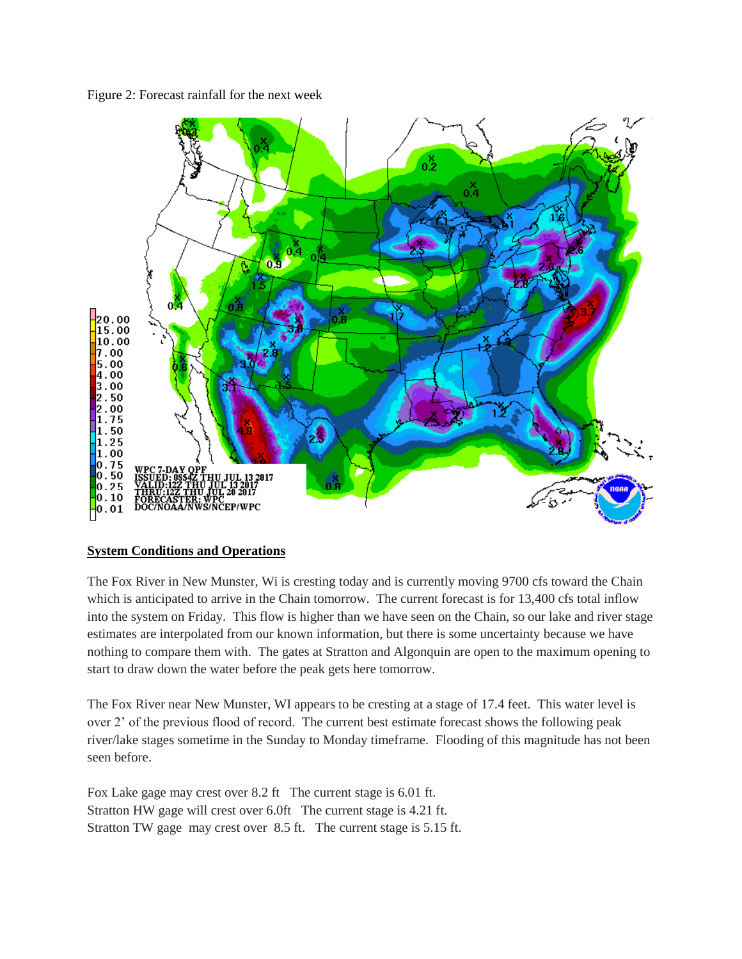Figure 2: Forecast rainfall for the next week



## **System Conditions and Operations**

The Fox River in New Munster, Wi is cresting today and is currently moving 9700 cfs toward the Chain which is anticipated to arrive in the Chain tomorrow. The current forecast is for 13,400 cfs total inflow into the system on Friday. This flow is higher than we have seen on the Chain, so our lake and river stage estimates are interpolated from our known information, but there is some uncertainty because we have nothing to compare them with. The gates at Stratton and Algonquin are open to the maximum opening to start to draw down the water before the peak gets here tomorrow.

The Fox River near New Munster, WI appears to be cresting at a stage of 17.4 feet. This water level is over 2' of the previous flood of record. The current best estimate forecast shows the following peak river/lake stages sometime in the Sunday to Monday timeframe. Flooding of this magnitude has not been seen before.

Fox Lake gage may crest over 8.2 ft The current stage is 6.01 ft. Stratton HW gage will crest over 6.0ft The current stage is 4.21 ft. Stratton TW gage may crest over 8.5 ft. The current stage is 5.15 ft.